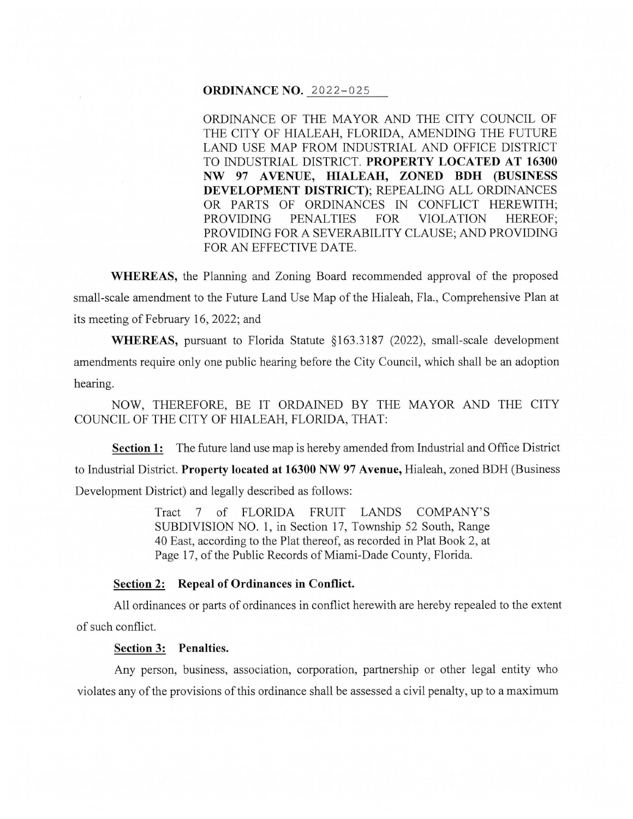#### **ORDINANCE NO.** 2022-025

ORDINANCE OF THE MAYOR AND THE CITY COUNCIL OF THE CITY OF HIALEAH, FLORIDA, AMENDING THE FUTURE LAND USE MAP FROM INDUSTRIAL AND OFFICE DISTRICT TO INDUSTRIAL DISTRICT. **PROPERTY LOCATED AT 16300 NW** 97 A **VENUE, HIALEAH, ZONED BDH (BUSINESS DEVELOPMENT DISTRICT);** REPEALING ALL ORDINANCES OR PARTS OF ORDINANCES IN CONFLICT HEREWITH; PROVIDING PENALTIES FOR VIOLATION HEREOF; PROVIDING FOR A SEVERABILITY CLAUSE; AND PROVIDING FOR AN EFFECTIVE DATE.

**WHEREAS,** the Planning and Zoning Board recommended approval of the proposed small-scale amendment to the Future Land Use Map of the Hialeah, Fla., Comprehensive Plan at its meeting of February 16, 2022; and

**WHEREAS,** pursuant to Florida Statute § 163 .3187 (2022), small-scale development amendments require only one public hearing before the City Council, which shall be an adoption hearing.

NOW, THEREFORE, BE IT ORDAINED BY THE MAYOR AND THE CITY COUNCIL OF THE CITY OF HIALEAH, FLORIDA, THAT:

**Section 1:** The future land use map is hereby amended from Industrial and Office District to Industrial District. **Property located at 16300 NW 97 Avenue,** Hialeah, zoned BDH (Business Development District) and legally described as follows:

> Tract 7 of FLORIDA FRUIT LANDS COMPANY'S SUBDIVISION NO. 1, in Section 17, Township 52 South, Range 40 East, according to the Plat thereof, as recorded in Plat Book 2, at Page 17, of the Public Records of Miami-Dade County, Florida.

# **Section 2: Repeal of Ordinances in Conflict.**

All ordinances or parts of ordinances in conflict herewith are hereby repealed to the extent of such conflict.

# **Section 3: Penalties.**

Any person, business, association, corporation, partnership or other legal entity who violates any of the provisions of this ordinance shall be assessed a civil penalty, up to a maximum